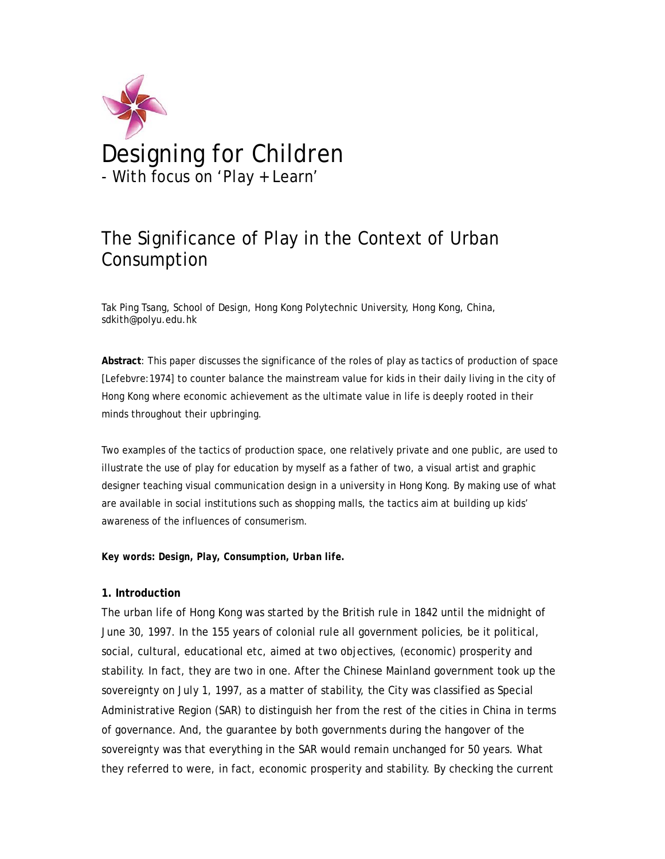

# The Significance of Play in the Context of Urban Consumption

Tak Ping Tsang, School of Design, Hong Kong Polytechnic University, Hong Kong, China, sdkith@polyu.edu.hk

**Abstract**: This paper discusses the significance of the roles of play as tactics of production of space [Lefebvre:1974] to counter balance the mainstream value for kids in their daily living in the city of Hong Kong where economic achievement as the ultimate value in life is deeply rooted in their minds throughout their upbringing.

Two examples of the tactics of production space, one relatively private and one public, are used to illustrate the use of play for education by myself as a father of two, a visual artist and graphic designer teaching visual communication design in a university in Hong Kong. By making use of what are available in social institutions such as shopping malls, the tactics aim at building up kids' awareness of the influences of consumerism.

*Key words: Design, Play, Consumption, Urban life.* 

## **1. Introduction**

The urban life of Hong Kong was started by the British rule in 1842 until the midnight of June 30, 1997. In the 155 years of colonial rule all government policies, be it political, social, cultural, educational etc, aimed at two objectives, (economic) prosperity and stability. In fact, they are two in one. After the Chinese Mainland government took up the sovereignty on July 1, 1997, as a matter of stability, the City was classified as Special Administrative Region (SAR) to distinguish her from the rest of the cities in China in terms of governance. And, the guarantee by both governments during the hangover of the sovereignty was that everything in the SAR would remain unchanged for 50 years. What they referred to were, in fact, economic prosperity and stability. By checking the current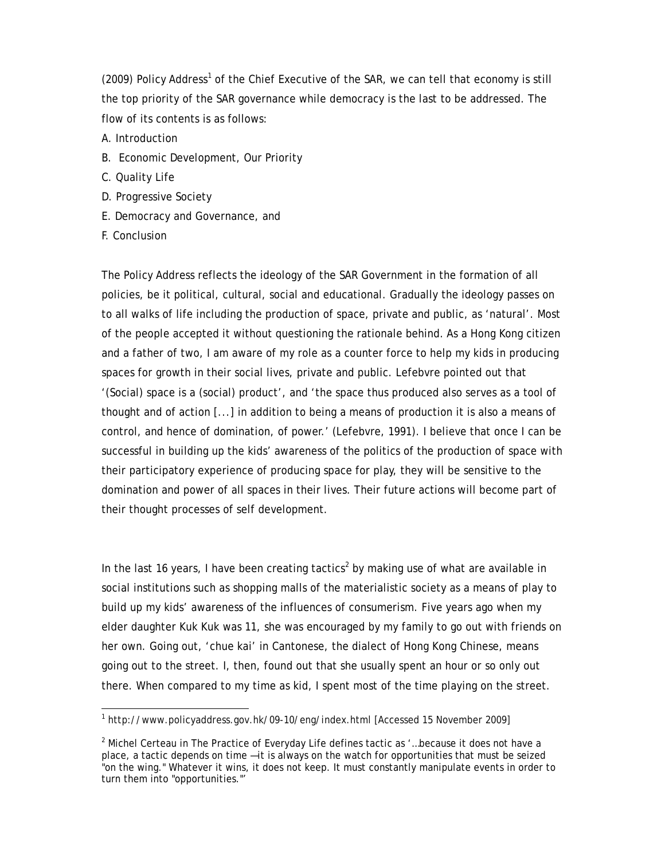$(2009)$  Policy Address<sup>1</sup> of the Chief Executive of the SAR, we can tell that economy is still the top priority of the SAR governance while democracy is the last to be addressed. The flow of its contents is as follows:

- A. Introduction
- B. Economic Development, Our Priority
- C. Quality Life
- D. Progressive Society
- E. Democracy and Governance, and
- F. Conclusion

The Policy Address reflects the ideology of the SAR Government in the formation of all policies, be it political, cultural, social and educational. Gradually the ideology passes on to all walks of life including the production of space, private and public, as 'natural'. Most of the people accepted it without questioning the rationale behind. As a Hong Kong citizen and a father of two, I am aware of my role as a counter force to help my kids in producing spaces for growth in their social lives, private and public. Lefebvre pointed out that '(Social) space is a (social) product', and 'the space thus produced also serves as a tool of thought and of action [...] in addition to being a means of production it is also a means of control, and hence of domination, of power.' (Lefebvre, 1991). I believe that once I can be successful in building up the kids' awareness of the politics of the production of space with their participatory experience of producing space for play, they will be sensitive to the domination and power of all spaces in their lives. Their future actions will become part of their thought processes of self development.

In the last 16 years, I have been creating tactics<sup>2</sup> by making use of what are available in social institutions such as shopping malls of the materialistic society as a means of play to build up my kids' awareness of the influences of consumerism. Five years ago when my elder daughter Kuk Kuk was 11, she was encouraged by my family to go out with friends on her own. Going out, 'chue kai' in Cantonese, the dialect of Hong Kong Chinese, means going out to the street. I, then, found out that she usually spent an hour or so only out there. When compared to my time as kid, I spent most of the time playing on the street.

 <sup>1</sup> http://www.policyaddress.gov.hk/09-10/eng/index.html [Accessed 15 November 2009]

 $2$  Michel Certeau in The Practice of Everyday Life defines tactic as  $\cdot$ ...because it does not have a place, a tactic depends on time —it is always on the watch for opportunities that must be seized "on the wing." Whatever it wins, it does not keep. It must constantly manipulate events in order to turn them into "opportunities."'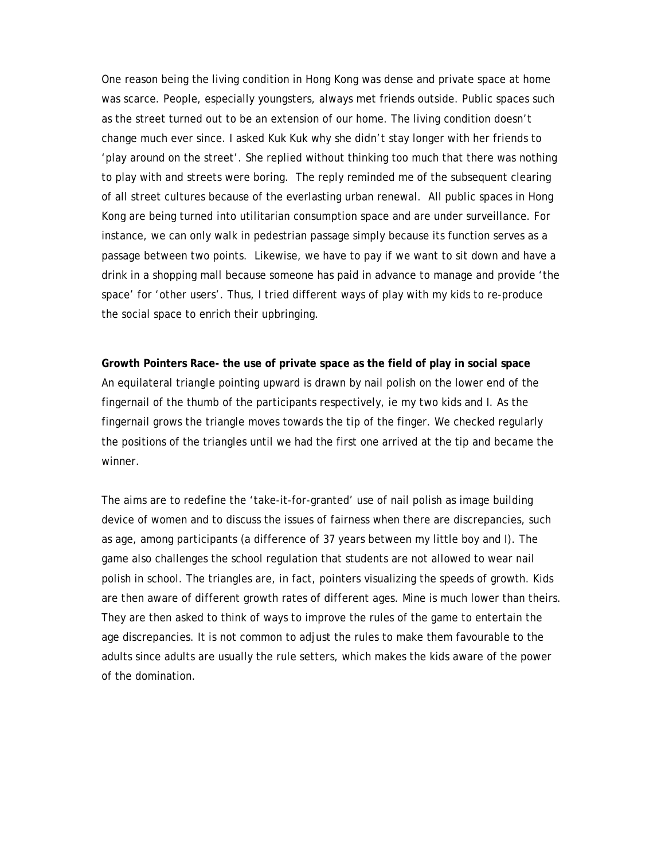One reason being the living condition in Hong Kong was dense and private space at home was scarce. People, especially youngsters, always met friends outside. Public spaces such as the street turned out to be an extension of our home. The living condition doesn't change much ever since. I asked Kuk Kuk why she didn't stay longer with her friends to 'play around on the street'. She replied without thinking too much that there was nothing to play with and streets were boring. The reply reminded me of the subsequent clearing of all street cultures because of the everlasting urban renewal. All public spaces in Hong Kong are being turned into utilitarian consumption space and are under surveillance. For instance, we can only walk in pedestrian passage simply because its function serves as a passage between two points. Likewise, we have to pay if we want to sit down and have a drink in a shopping mall because someone has paid in advance to manage and provide 'the space' for 'other users'. Thus, I tried different ways of play with my kids to re-produce the social space to enrich their upbringing.

**Growth Pointers Race- the use of private space as the field of play in social space**  An equilateral triangle pointing upward is drawn by nail polish on the lower end of the fingernail of the thumb of the participants respectively, ie my two kids and I. As the fingernail grows the triangle moves towards the tip of the finger. We checked regularly the positions of the triangles until we had the first one arrived at the tip and became the winner.

The aims are to redefine the 'take-it-for-granted' use of nail polish as image building device of women and to discuss the issues of fairness when there are discrepancies, such as age, among participants (a difference of 37 years between my little boy and I). The game also challenges the school regulation that students are not allowed to wear nail polish in school. The triangles are, in fact, pointers visualizing the speeds of growth. Kids are then aware of different growth rates of different ages. Mine is much lower than theirs. They are then asked to think of ways to improve the rules of the game to entertain the age discrepancies. It is not common to adjust the rules to make them favourable to the adults since adults are usually the rule setters, which makes the kids aware of the power of the domination.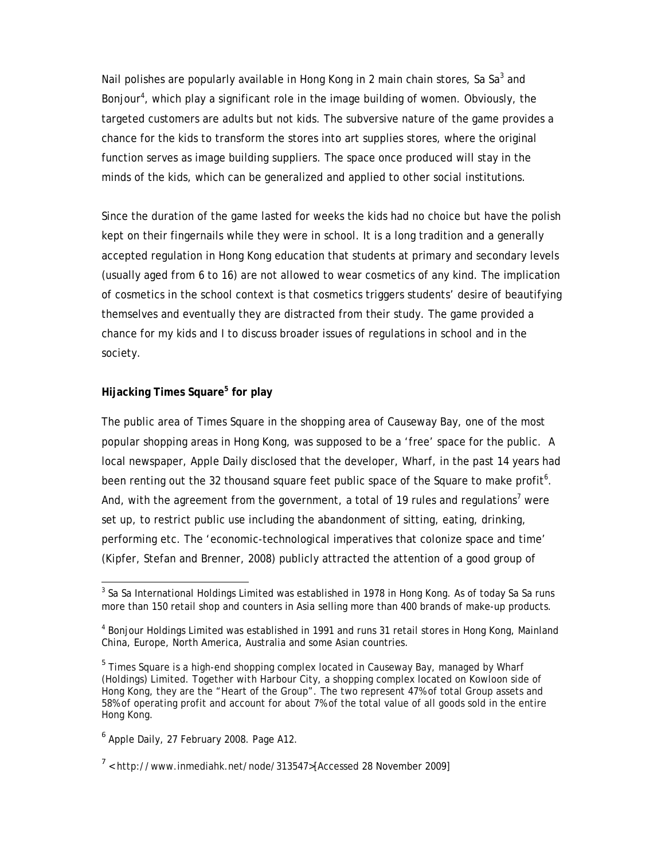Nail polishes are popularly available in Hong Kong in 2 main chain stores, Sa Sa<sup>3</sup> and Bonjour<sup>4</sup>, which play a significant role in the image building of women. Obviously, the targeted customers are adults but not kids. The subversive nature of the game provides a chance for the kids to transform the stores into art supplies stores, where the original function serves as image building suppliers. The space once produced will stay in the minds of the kids, which can be generalized and applied to other social institutions.

Since the duration of the game lasted for weeks the kids had no choice but have the polish kept on their fingernails while they were in school. It is a long tradition and a generally accepted regulation in Hong Kong education that students at primary and secondary levels (usually aged from 6 to 16) are not allowed to wear cosmetics of any kind. The implication of cosmetics in the school context is that cosmetics triggers students' desire of beautifying themselves and eventually they are distracted from their study. The game provided a chance for my kids and I to discuss broader issues of regulations in school and in the society.

## **Hijacking Times Square<sup>5</sup> for play**

The public area of Times Square in the shopping area of Causeway Bay, one of the most popular shopping areas in Hong Kong, was supposed to be a 'free' space for the public. A local newspaper, Apple Daily disclosed that the developer, Wharf, in the past 14 years had been renting out the 32 thousand square feet public space of the Square to make profit<sup>6</sup>. And, with the agreement from the government, a total of 19 rules and regulations<sup>7</sup> were set up, to restrict public use including the abandonment of sitting, eating, drinking, performing etc. The 'economic-technological imperatives that colonize space and time' (Kipfer, Stefan and Brenner, 2008) publicly attracted the attention of a good group of

 $^3$  Sa Sa International Holdings Limited was established in 1978 in Hong Kong. As of today Sa Sa runs more than 150 retail shop and counters in Asia selling more than 400 brands of make-up products.

<sup>&</sup>lt;sup>4</sup> Bonjour Holdings Limited was established in 1991 and runs 31 retail stores in Hong Kong, Mainland China, Europe, North America, Australia and some Asian countries.

<sup>&</sup>lt;sup>5</sup> Times Square is a high-end shopping complex located in Causeway Bay, managed by Wharf (Holdings) Limited. Together with Harbour City, a shopping complex located on Kowloon side of Hong Kong, they are the "Heart of the Group". The two represent 47% of total Group assets and 58% of operating profit and account for about 7% of the total value of all goods sold in the entire Hong Kong.

<sup>&</sup>lt;sup>6</sup> Apple Daily, 27 February 2008. Page A12.

 $7$  < http://www.inmediahk.net/node/313547>[Accessed 28 November 2009]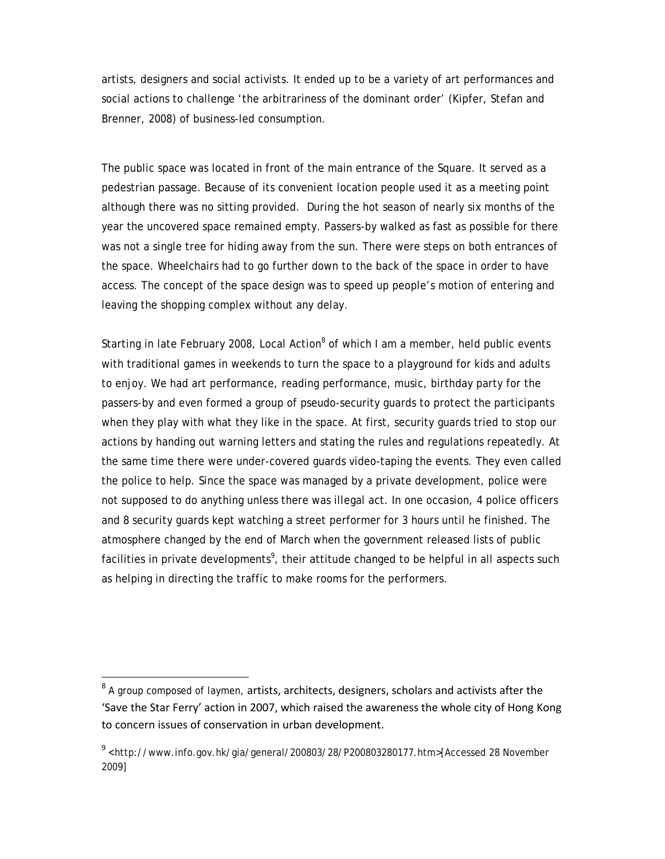artists, designers and social activists. It ended up to be a variety of art performances and social actions to challenge 'the arbitrariness of the dominant order' (Kipfer, Stefan and Brenner, 2008) of business-led consumption.

The public space was located in front of the main entrance of the Square. It served as a pedestrian passage. Because of its convenient location people used it as a meeting point although there was no sitting provided. During the hot season of nearly six months of the year the uncovered space remained empty. Passers-by walked as fast as possible for there was not a single tree for hiding away from the sun. There were steps on both entrances of the space. Wheelchairs had to go further down to the back of the space in order to have access. The concept of the space design was to speed up people's motion of entering and leaving the shopping complex without any delay.

Starting in late February 2008, Local Action<sup>8</sup> of which I am a member, held public events with traditional games in weekends to turn the space to a playground for kids and adults to enjoy. We had art performance, reading performance, music, birthday party for the passers-by and even formed a group of pseudo-security guards to protect the participants when they play with what they like in the space. At first, security guards tried to stop our actions by handing out warning letters and stating the rules and regulations repeatedly. At the same time there were under-covered guards video-taping the events. They even called the police to help. Since the space was managed by a private development, police were not supposed to do anything unless there was illegal act. In one occasion, 4 police officers and 8 security guards kept watching a street performer for 3 hours until he finished. The atmosphere changed by the end of March when the government released lists of public facilities in private developments<sup>9</sup>, their attitude changed to be helpful in all aspects such as helping in directing the traffic to make rooms for the performers.

 $8$  A aroup composed of laymen, artists, architects, designers, scholars and activists after the 'Save the Star Ferry' action in 2007, which raised the awareness the whole city of Hong Kong to concern issues of conservation in urban development.

<sup>9</sup> <http://www.info.gov.hk/gia/general/200803/28/P200803280177.htm>[Accessed 28 November 2009]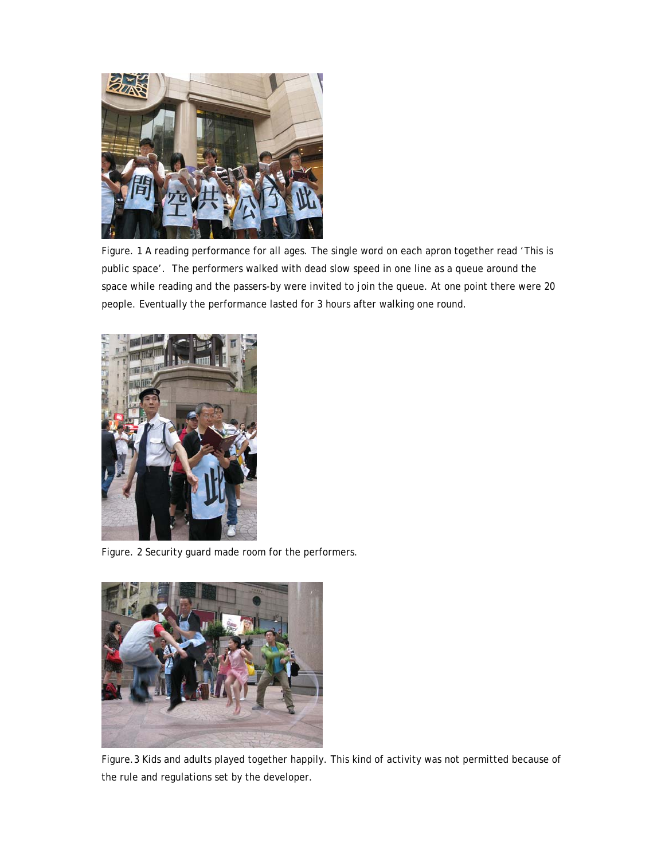

Figure. 1 A reading performance for all ages. The single word on each apron together read 'This is public space'. The performers walked with dead slow speed in one line as a queue around the space while reading and the passers-by were invited to join the queue. At one point there were 20 people. Eventually the performance lasted for 3 hours after walking one round.



Figure. 2 Security guard made room for the performers.



Figure.3 Kids and adults played together happily. This kind of activity was not permitted because of the rule and regulations set by the developer.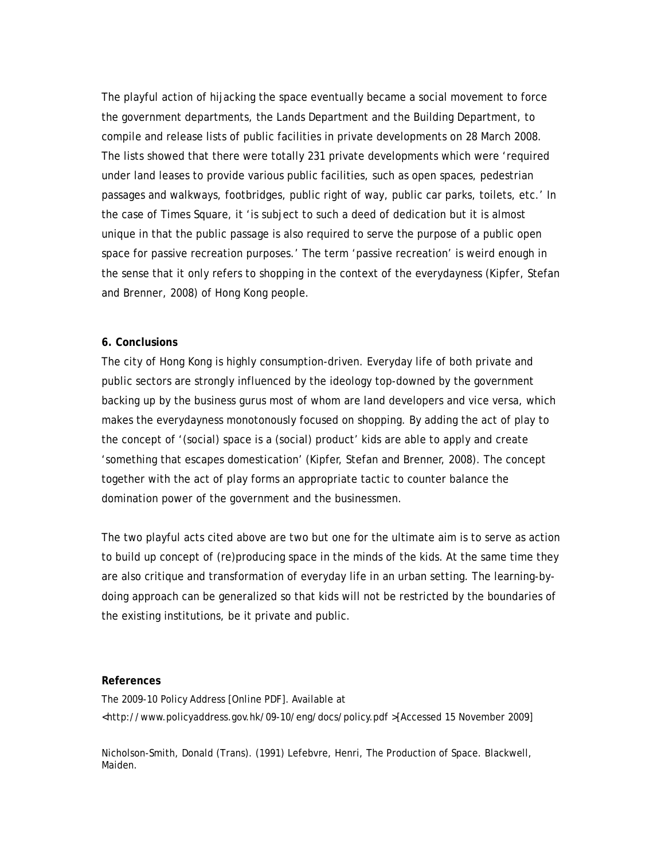The playful action of hijacking the space eventually became a social movement to force the government departments, the Lands Department and the Building Department, to compile and release lists of public facilities in private developments on 28 March 2008. The lists showed that there were totally 231 private developments which were 'required under land leases to provide various public facilities, such as open spaces, pedestrian passages and walkways, footbridges, public right of way, public car parks, toilets, etc.' In the case of Times Square, it 'is subject to such a deed of dedication but it is almost unique in that the public passage is also required to serve the purpose of a public open space for passive recreation purposes.' The term 'passive recreation' is weird enough in the sense that it only refers to shopping in the context of the everydayness (Kipfer, Stefan and Brenner, 2008) of Hong Kong people.

### **6. Conclusions**

The city of Hong Kong is highly consumption-driven. Everyday life of both private and public sectors are strongly influenced by the ideology top-downed by the government backing up by the business gurus most of whom are land developers and vice versa, which makes the everydayness monotonously focused on shopping. By adding the act of play to the concept of '(social) space is a (social) product' kids are able to apply and create 'something that escapes domestication' (Kipfer, Stefan and Brenner, 2008). The concept together with the act of play forms an appropriate tactic to counter balance the domination power of the government and the businessmen.

The two playful acts cited above are two but one for the ultimate aim is to serve as action to build up concept of (re)producing space in the minds of the kids. At the same time they are also critique and transformation of everyday life in an urban setting. The learning-bydoing approach can be generalized so that kids will not be restricted by the boundaries of the existing institutions, be it private and public.

#### **References**

The 2009-10 Policy Address [Online PDF]. Available at <http://www.policyaddress.gov.hk/09-10/eng/docs/policy.pdf >[Accessed 15 November 2009]

Nicholson-Smith, Donald (Trans). (1991) Lefebvre, Henri, The Production of Space. Blackwell, Maiden.